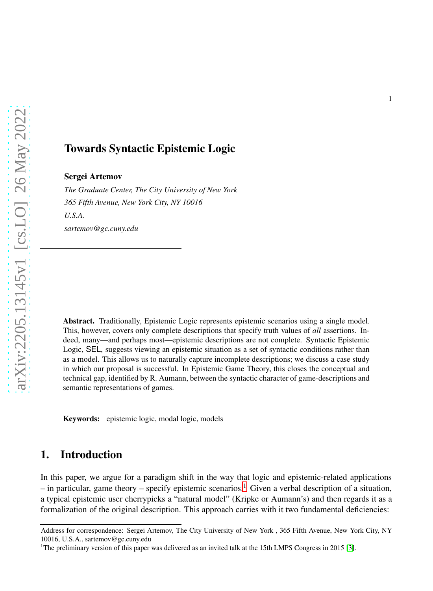# Towards Syntactic Epistemic Logic

Sergei Artemov

*The Graduate Center, The City University of New York 365 Fifth Avenue, New York City, NY 10016 U.S.A. sartemov@gc.cuny.edu*

Abstract. Traditionally, Epistemic Logic represents epistemic scenarios using a single model. This, however, covers only complete descriptions that specify truth values of *all* assertions. Indeed, many—and perhaps most—epistemic descriptions are not complete. Syntactic Epistemic Logic, SEL, suggests viewing an epistemic situation as a set of syntactic conditions rather than as a model. This allows us to naturally capture incomplete descriptions; we discuss a case study in which our proposal is successful. In Epistemic Game Theory, this closes the conceptual and technical gap, identified by R. Aumann, between the syntactic character of game-descriptions and semantic representations of games.

Keywords: epistemic logic, modal logic, models

# 1. Introduction

In this paper, we argue for a paradigm shift in the way that logic and epistemic-related applications – in particular, game theory – specify epistemic scenarios.<sup>[1](#page-0-0)</sup> Given a verbal description of a situation, a typical epistemic user cherrypicks a "natural model" (Kripke or Aumann's) and then regards it as a formalization of the original description. This approach carries with it two fundamental deficiencies:

Address for correspondence: Sergei Artemov, The City University of New York , 365 Fifth Avenue, New York City, NY 10016, U.S.A., sartemov@gc.cuny.edu

<span id="page-0-0"></span><sup>&</sup>lt;sup>1</sup>The preliminary version of this paper was delivered as an invited talk at the 15th LMPS Congress in 2015 [\[3\]](#page-16-0).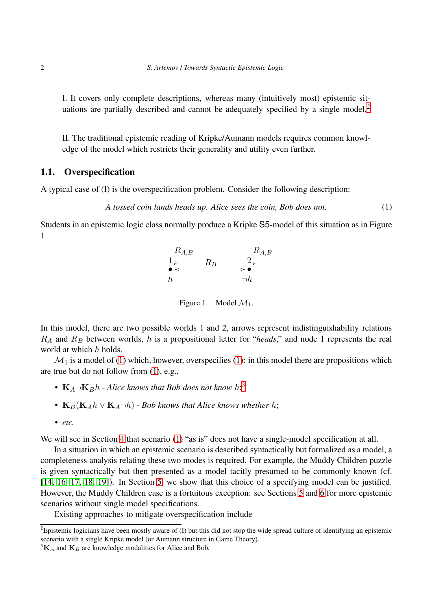I. It covers only complete descriptions, whereas many (intuitively most) epistemic sit-uations are partially described and cannot be adequately specified by a single model.<sup>[2](#page-1-0)</sup>

II. The traditional epistemic reading of Kripke/Aumann models requires common knowledge of the model which restricts their generality and utility even further.

### 1.1. Overspecification

A typical case of (I) is the overspecification problem. Consider the following description:

<span id="page-1-1"></span>*A tossed coin lands heads up. Alice sees the coin, Bob does not.* (1)

Students in an epistemic logic class normally produce a Kripke S5-model of this situation as in Figure 1

> $1_V$   $R_B$  2 h  $\neg h$  $R_B$  $R_{A,B}$   $R_{A,B}$  $\bullet$   $\lt$   $\qquad$   $\qquad$   $\qquad$   $\qquad$   $\qquad$   $\qquad$   $\qquad$   $\qquad$   $\qquad$   $\qquad$   $\qquad$   $\qquad$   $\qquad$   $\qquad$   $\qquad$   $\qquad$   $\qquad$   $\qquad$   $\qquad$   $\qquad$   $\qquad$   $\qquad$   $\qquad$   $\qquad$   $\qquad$   $\qquad$   $\qquad$   $\qquad$   $\qquad$   $\qquad$   $\qquad$   $\qquad$   $\qquad$   $\qquad$   $\qquad$

> > Figure 1. Model  $M_1$ .

In this model, there are two possible worlds 1 and 2, arrows represent indistinguishability relations  $R_A$  and  $R_B$  between worlds, h is a propositional letter for "*heads*," and node 1 represents the real world at which h holds.

 $\mathcal{M}_1$  is a model of [\(1\)](#page-1-1) which, however, overspecifies [\(1\)](#page-1-1): in this model there are propositions which are true but do not follow from [\(1\)](#page-1-1), e.g.,

- $K_A\neg K_B h$  Alice knows that Bob does not know  $h$ <sup>[3](#page-1-2)</sup>,
- $\mathbf{K}_B(\mathbf{K}_A h \vee \mathbf{K}_A \neg h)$  *Bob knows that Alice knows whether h*;
- *etc.*

We will see in Section [4](#page-5-0) that scenario [\(1\)](#page-1-1) "as is" does not have a single-model specification at all.

In a situation in which an epistemic scenario is described syntactically but formalized as a model, a completeness analysis relating these two modes is required. For example, the Muddy Children puzzle is given syntactically but then presented as a model tacitly presumed to be commonly known (cf. [\[14,](#page-17-0) [16,](#page-17-1) [17,](#page-17-2) [18,](#page-17-3) [19\]](#page-17-4)). In Section [5,](#page-9-0) we show that this choice of a specifying model can be justified. However, the Muddy Children case is a fortuitous exception: see Sections [5](#page-9-0) and [6](#page-13-0) for more epistemic scenarios without single model specifications.

Existing approaches to mitigate overspecification include

<span id="page-1-0"></span> $\overline{a}$ Epistemic logicians have been mostly aware of (I) but this did not stop the wide spread culture of identifying an epistemic scenario with a single Kripke model (or Aumann structure in Game Theory).

<span id="page-1-2"></span> ${}^{3}$ K<sub>A</sub> and K<sub>B</sub> are knowledge modalities for Alice and Bob.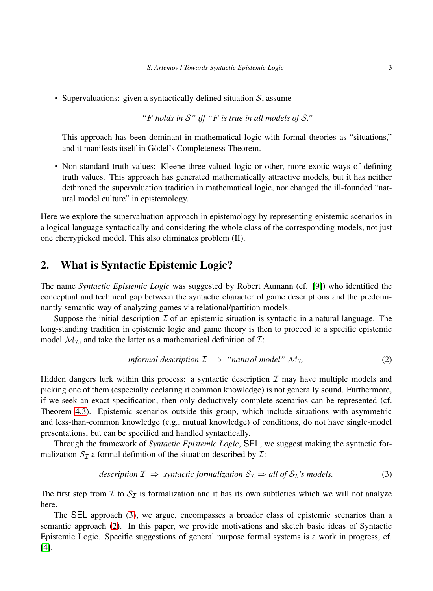• Supervaluations: given a syntactically defined situation  $S$ , assume

*"*F *holds in* S*" iff "*F *is true in all models of* S*."*

This approach has been dominant in mathematical logic with formal theories as "situations," and it manifests itself in Gödel's Completeness Theorem.

• Non-standard truth values: Kleene three-valued logic or other, more exotic ways of defining truth values. This approach has generated mathematically attractive models, but it has neither dethroned the supervaluation tradition in mathematical logic, nor changed the ill-founded "natural model culture" in epistemology.

Here we explore the supervaluation approach in epistemology by representing epistemic scenarios in a logical language syntactically and considering the whole class of the corresponding models, not just one cherrypicked model. This also eliminates problem (II).

# 2. What is Syntactic Epistemic Logic?

The name *Syntactic Epistemic Logic* was suggested by Robert Aumann (cf. [\[9\]](#page-16-1)) who identified the conceptual and technical gap between the syntactic character of game descriptions and the predominantly semantic way of analyzing games via relational/partition models.

Suppose the initial description  $\mathcal I$  of an epistemic situation is syntactic in a natural language. The long-standing tradition in epistemic logic and game theory is then to proceed to a specific epistemic model  $\mathcal{M}_{\mathcal{I}}$ , and take the latter as a mathematical definition of  $\mathcal{I}$ :

<span id="page-2-1"></span>
$$
in formal description \mathcal{I} \Rightarrow "natural model" \mathcal{M}_{\mathcal{I}}.
$$
 (2)

Hidden dangers lurk within this process: a syntactic description  $\mathcal I$  may have multiple models and picking one of them (especially declaring it common knowledge) is not generally sound. Furthermore, if we seek an exact specification, then only deductively complete scenarios can be represented (cf. Theorem [4.3\)](#page-8-0). Epistemic scenarios outside this group, which include situations with asymmetric and less-than-common knowledge (e.g., mutual knowledge) of conditions, do not have single-model presentations, but can be specified and handled syntactically.

Through the framework of *Syntactic Epistemic Logic*, SEL, we suggest making the syntactic formalization  $S_{\mathcal{I}}$  a formal definition of the situation described by  $\mathcal{I}$ :

<span id="page-2-0"></span>
$$
description \mathcal{I} \Rightarrow syntactic formalization \mathcal{S}_{\mathcal{I}} \Rightarrow all \ of \mathcal{S}_{\mathcal{I}}' \text{ is models.}
$$
 (3)

The first step from  $I$  to  $S_I$  is formalization and it has its own subtleties which we will not analyze here.

The SEL approach [\(3\)](#page-2-0), we argue, encompasses a broader class of epistemic scenarios than a semantic approach [\(2\)](#page-2-1). In this paper, we provide motivations and sketch basic ideas of Syntactic Epistemic Logic. Specific suggestions of general purpose formal systems is a work in progress, cf. [\[4\]](#page-16-2).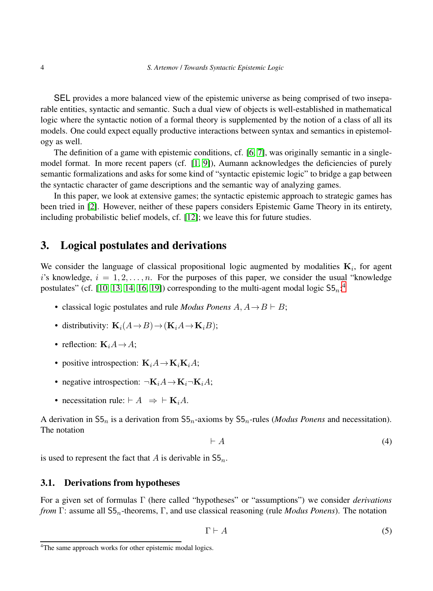SEL provides a more balanced view of the epistemic universe as being comprised of two inseparable entities, syntactic and semantic. Such a dual view of objects is well-established in mathematical logic where the syntactic notion of a formal theory is supplemented by the notion of a class of all its models. One could expect equally productive interactions between syntax and semantics in epistemology as well.

The definition of a game with epistemic conditions, cf. [\[6,](#page-16-3) [7\]](#page-16-4), was originally semantic in a single-model format. In more recent papers (cf. [\[1,](#page-16-5) [9\]](#page-16-1)), Aumann acknowledges the deficiencies of purely semantic formalizations and asks for some kind of "syntactic epistemic logic" to bridge a gap between the syntactic character of game descriptions and the semantic way of analyzing games.

In this paper, we look at extensive games; the syntactic epistemic approach to strategic games has been tried in [\[2\]](#page-16-6). However, neither of these papers considers Epistemic Game Theory in its entirety, including probabilistic belief models, cf. [\[12\]](#page-16-7); we leave this for future studies.

## 3. Logical postulates and derivations

We consider the language of classical propositional logic augmented by modalities  $K_i$ , for agent i's knowledge,  $i = 1, 2, \ldots, n$ . For the purposes of this paper, we consider the usual "knowledge" postulates" (cf. [\[10,](#page-16-8) [13,](#page-17-5) [14,](#page-17-0) [16,](#page-17-1) [19\]](#page-17-4)) corresponding to the multi-agent modal logic  $55<sub>n</sub>$ <sup>[4](#page-3-0)</sup>

- classical logic postulates and rule *Modus Ponens*  $A, A \rightarrow B \vdash B$ ;
- distributivity:  $\mathbf{K}_i(A \rightarrow B) \rightarrow (\mathbf{K}_i A \rightarrow \mathbf{K}_i B);$
- reflection:  $\mathbf{K}_i A \rightarrow A$ :
- positive introspection:  $\mathbf{K}_i A \rightarrow \mathbf{K}_i \mathbf{K}_i A;$
- negative introspection:  $\neg K_iA \rightarrow K_i\neg K_iA;$
- necessitation rule:  $\vdash A \Rightarrow \vdash \mathbf{K}_i A$ .

A derivation in  $55<sub>n</sub>$  is a derivation from  $55<sub>n</sub>$ -axioms by  $55<sub>n</sub>$ -rules (*Modus Ponens* and necessitation). The notation

<span id="page-3-1"></span>
$$
\vdash A \tag{4}
$$

is used to represent the fact that A is derivable in  $S5_n$ .

### 3.1. Derivations from hypotheses

For a given set of formulas Γ (here called "hypotheses" or "assumptions") we consider *derivations from* Γ: assume all S5n-theorems, Γ, and use classical reasoning (rule *Modus Ponens*). The notation

<span id="page-3-2"></span>
$$
\Gamma \vdash A \tag{5}
$$

<span id="page-3-0"></span><sup>&</sup>lt;sup>4</sup>The same approach works for other epistemic modal logics.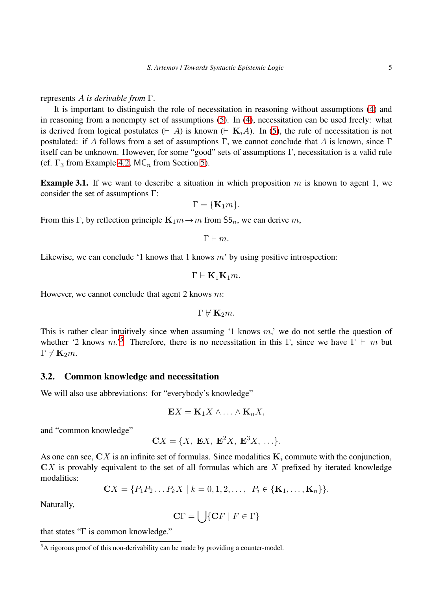#### represents A *is derivable from* Γ.

It is important to distinguish the role of necessitation in reasoning without assumptions [\(4\)](#page-3-1) and in reasoning from a nonempty set of assumptions [\(5\)](#page-3-2). In [\(4\)](#page-3-1), necessitation can be used freely: what is derived from logical postulates ( $\vdash A$ ) is known ( $\vdash K_iA$ ). In [\(5\)](#page-3-2), the rule of necessitation is not postulated: if A follows from a set of assumptions Γ, we cannot conclude that A is known, since Γ itself can be unknown. However, for some "good" sets of assumptions Γ, necessitation is a valid rule (cf.  $\Gamma_3$  from Example [4.2,](#page-7-0) MC<sub>n</sub> from Section [5\)](#page-9-0).

**Example 3.1.** If we want to describe a situation in which proposition m is known to agent 1, we consider the set of assumptions Γ:

$$
\Gamma = \{ \mathbf{K}_1 m \}.
$$

From this Γ, by reflection principle  $\mathbf{K}_1m \to m$  from  $\mathsf{S5}_n$ , we can derive m,

 $\Gamma \vdash m$ .

Likewise, we can conclude '1 knows that 1 knows  $m'$  by using positive introspection:

$$
\Gamma \vdash \mathbf{K}_1 \mathbf{K}_1 m.
$$

However, we cannot conclude that agent 2 knows  $m$ :

$$
\Gamma\not\vdash{\bf K}_2m.
$$

This is rather clear intuitively since when assuming  $\lambda$  knows m,' we do not settle the question of whether '2 knows m.'<sup>[5](#page-4-0)</sup> Therefore, there is no necessitation in this Γ, since we have  $\Gamma \vdash m$  but  $\Gamma \vdash K_2m$ .

#### 3.2. Common knowledge and necessitation

We will also use abbreviations: for "everybody's knowledge"

$$
\mathbf{E}X = \mathbf{K}_1 X \wedge \ldots \wedge \mathbf{K}_n X,
$$

and "common knowledge"

$$
\mathbf{C}X = \{X, \mathbf{E}X, \mathbf{E}^2X, \mathbf{E}^3X, \ldots\}.
$$

As one can see,  $\mathbf{C}X$  is an infinite set of formulas. Since modalities  $\mathbf{K}_i$  commute with the conjunction,  $\mathbf{C}X$  is provably equivalent to the set of all formulas which are  $X$  prefixed by iterated knowledge modalities:

$$
CX = \{P_1P_2...P_kX \mid k = 0, 1, 2,..., P_i \in \{\mathbf{K}_1,...,\mathbf{K}_n\}\}.
$$

Naturally,

$$
\mathbf{C}\Gamma = \bigcup \{ \mathbf{C}F \mid F \in \Gamma \}
$$

that states "Γ is common knowledge."

<span id="page-4-0"></span><sup>&</sup>lt;sup>5</sup>A rigorous proof of this non-derivability can be made by providing a counter-model.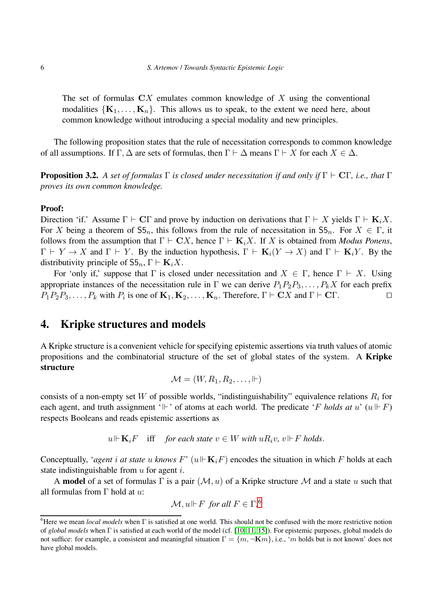The set of formulas  $\mathbb{C}X$  emulates common knowledge of X using the conventional modalities  $\{K_1, \ldots, K_n\}$ . This allows us to speak, to the extent we need here, about common knowledge without introducing a special modality and new principles.

<span id="page-5-2"></span>The following proposition states that the rule of necessitation corresponds to common knowledge of all assumptions. If  $\Gamma, \Delta$  are sets of formulas, then  $\Gamma \vdash \Delta$  means  $\Gamma \vdash X$  for each  $X \in \Delta$ .

Proposition 3.2. *A set of formulas* Γ *is closed under necessitation if and only if* Γ ⊢ CΓ*, i.e., that* Γ *proves its own common knowledge.*

#### Proof:

Direction 'if.' Assume  $\Gamma \vdash C\Gamma$  and prove by induction on derivations that  $\Gamma \vdash X$  yields  $\Gamma \vdash \mathbf{K}_i X$ . For X being a theorem of  $55<sub>n</sub>$ , this follows from the rule of necessitation in  $55<sub>n</sub>$ . For  $X \in \Gamma$ , it follows from the assumption that  $\Gamma \vdash \mathbf{C}X$ , hence  $\Gamma \vdash \mathbf{K}_iX$ . If X is obtained from *Modus Ponens*,  $\Gamma \vdash Y \to X$  and  $\Gamma \vdash Y$ . By the induction hypothesis,  $\Gamma \vdash \mathbf{K}_i(Y \to X)$  and  $\Gamma \vdash \mathbf{K}_i Y$ . By the distributivity principle of  $S5_n$ ,  $\Gamma \vdash \mathbf{K}_i X$ .

For 'only if,' suppose that  $\Gamma$  is closed under necessitation and  $X \in \Gamma$ , hence  $\Gamma \vdash X$ . Using appropriate instances of the necessitation rule in  $\Gamma$  we can derive  $P_1P_2P_3, \ldots, P_kX$  for each prefix  $P_1P_2P_3, \ldots, P_k$  with  $P_i$  is one of  $\mathbf{K}_1, \mathbf{K}_2, \ldots, \mathbf{K}_n$ . Therefore,  $\Gamma \vdash \mathbf{C}X$  and  $\Gamma \vdash \mathbf{C}\Gamma$ .

# <span id="page-5-0"></span>4. Kripke structures and models

A Kripke structure is a convenient vehicle for specifying epistemic assertions via truth values of atomic propositions and the combinatorial structure of the set of global states of the system. A Kripke structure

$$
\mathcal{M} = (W, R_1, R_2, \ldots, \Vdash)
$$

consists of a non-empty set W of possible worlds, "indistinguishability" equivalence relations  $R_i$  for each agent, and truth assignment ' $\Vdash$ ' of atoms at each world. The predicate 'F holds at u'  $(u \Vdash F)$ respects Booleans and reads epistemic assertions as

 $u \Vdash$  **K**<sub>i</sub>F iff *for each state*  $v ∈ W$  *with*  $uR_i v$ *,*  $v \Vdash F$  *holds*.

Conceptually, *'agent* i at state u knows  $F'$  ( $u \Vdash \mathbf{K}_i$ ) encodes the situation in which F holds at each state indistinguishable from  $u$  for agent  $i$ .

A **model** of a set of formulas  $\Gamma$  is a pair  $(M, u)$  of a Kripke structure M and a state u such that all formulas from  $\Gamma$  hold at  $u$ :

$$
\mathcal{M}, u \Vdash F \text{ for all } F \in \Gamma.
$$
<sup>6</sup>

<span id="page-5-1"></span><sup>6</sup>Here we mean *local models* when Γ is satisfied at one world. This should not be confused with the more restrictive notion of *global models* when Γ is satisfied at each world of the model (cf. [\[10,](#page-16-8) [11,](#page-16-9) [15\]](#page-17-6)). For epistemic purposes, global models do not suffice: for example, a consistent and meaningful situation  $\Gamma = \{m, \neg \mathbf{K}m\}$ , i.e., 'm holds but is not known' does not have global models.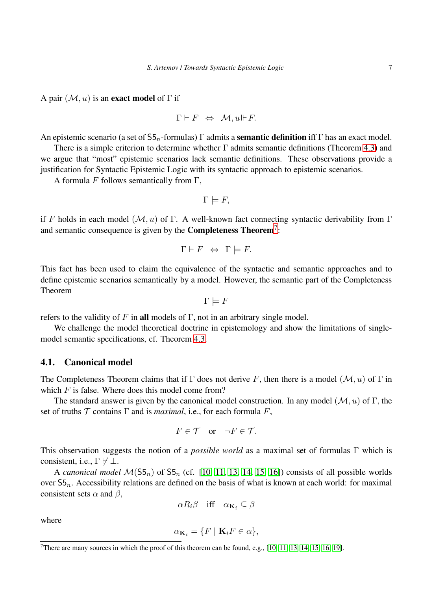A pair  $(M, u)$  is an **exact model** of  $\Gamma$  if

$$
\Gamma \vdash F \;\; \Leftrightarrow \;\; \mathcal{M}, u \Vdash F.
$$

An epistemic scenario (a set of  $55<sub>n</sub>$ -formulas) Γ admits a semantic definition iff Γ has an exact model.

There is a simple criterion to determine whether Γ admits semantic definitions (Theorem [4.3\)](#page-8-0) and we argue that "most" epistemic scenarios lack semantic definitions. These observations provide a justification for Syntactic Epistemic Logic with its syntactic approach to epistemic scenarios.

A formula F follows semantically from  $\Gamma$ ,

$$
\Gamma \models F,
$$

if F holds in each model ( $\mathcal{M}, u$ ) of Γ. A well-known fact connecting syntactic derivability from Γ and semantic consequence is given by the **Completeness Theorem**<sup>[7](#page-6-0)</sup>:

$$
\Gamma \vdash F \;\; \Leftrightarrow \;\; \Gamma \models F.
$$

This fact has been used to claim the equivalence of the syntactic and semantic approaches and to define epistemic scenarios semantically by a model. However, the semantic part of the Completeness Theorem

$$
\Gamma \models F
$$

refers to the validity of F in all models of  $\Gamma$ , not in an arbitrary single model.

We challenge the model theoretical doctrine in epistemology and show the limitations of singlemodel semantic specifications, cf. Theorem [4.3.](#page-8-0)

### 4.1. Canonical model

The Completeness Theorem claims that if  $\Gamma$  does not derive F, then there is a model  $(\mathcal{M}, u)$  of  $\Gamma$  in which  $F$  is false. Where does this model come from?

The standard answer is given by the canonical model construction. In any model ( $\mathcal{M}, u$ ) of Γ, the set of truths  $T$  contains  $\Gamma$  and is *maximal*, i.e., for each formula  $F$ ,

$$
F \in \mathcal{T} \quad \text{or} \quad \neg F \in \mathcal{T}.
$$

This observation suggests the notion of a *possible world* as a maximal set of formulas Γ which is consistent, i.e.,  $\Gamma \not\vdash \bot$ .

A *canonical model*  $M(55<sub>n</sub>)$  of  $55<sub>n</sub>$  (cf. [\[10,](#page-16-8) [11,](#page-16-9) [13,](#page-17-5) [14,](#page-17-0) [15,](#page-17-6) [16\]](#page-17-1)) consists of all possible worlds over  $55<sub>n</sub>$ . Accessibility relations are defined on the basis of what is known at each world: for maximal consistent sets  $\alpha$  and  $\beta$ ,

$$
\alpha R_i \beta \quad \text{iff} \quad \alpha_{\mathbf{K}_i} \subseteq \beta
$$

where

$$
\alpha_{\mathbf{K}_i} = \{ F \mid \mathbf{K}_i F \in \alpha \},
$$

<span id="page-6-0"></span><sup>&</sup>lt;sup>7</sup>There are many sources in which the proof of this theorem can be found, e.g.,  $[10, 11, 13, 14, 15, 16, 19]$  $[10, 11, 13, 14, 15, 16, 19]$  $[10, 11, 13, 14, 15, 16, 19]$  $[10, 11, 13, 14, 15, 16, 19]$  $[10, 11, 13, 14, 15, 16, 19]$  $[10, 11, 13, 14, 15, 16, 19]$  $[10, 11, 13, 14, 15, 16, 19]$ .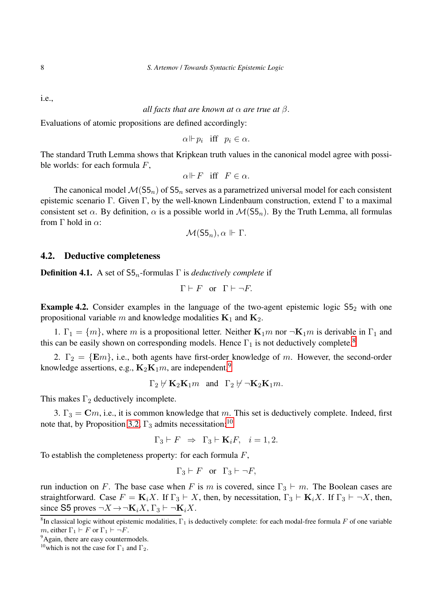i.e.,

## *all facts that are known at*  $\alpha$  *are true at*  $\beta$ *.*

Evaluations of atomic propositions are defined accordingly:

$$
\alpha \Vdash p_i \quad \text{iff} \quad p_i \in \alpha.
$$

The standard Truth Lemma shows that Kripkean truth values in the canonical model agree with possible worlds: for each formula  $F$ ,

$$
\alpha\Vdash F \ \ \text{iff} \ \ F\in \alpha.
$$

The canonical model  $\mathcal{M}(55_n)$  of  $55_n$  serves as a parametrized universal model for each consistent epistemic scenario Γ. Given Γ, by the well-known Lindenbaum construction, extend Γ to a maximal consistent set  $\alpha$ . By definition,  $\alpha$  is a possible world in  $\mathcal{M}(S5_n)$ . By the Truth Lemma, all formulas from  $\Gamma$  hold in  $\alpha$ :

$$
\mathcal{M}(\mathsf{S5}_n), \alpha \Vdash \Gamma.
$$

#### 4.2. Deductive completeness

**Definition 4.1.** A set of  $55<sub>n</sub>$ -formulas  $\Gamma$  is *deductively complete* if

 $\Gamma \vdash F$  or  $\Gamma \vdash \neg F$ .

<span id="page-7-0"></span>**Example 4.2.** Consider examples in the language of the two-agent epistemic logic  $55<sub>2</sub>$  with one propositional variable m and knowledge modalities  $K_1$  and  $K_2$ .

1.  $\Gamma_1 = \{m\}$ , where m is a propositional letter. Neither  $\mathbf{K}_1 m$  nor  $\neg \mathbf{K}_1 m$  is derivable in  $\Gamma_1$  and this can be easily shown on corresponding models. Hence  $\Gamma_1$  is not deductively complete.<sup>[8](#page-7-1)</sup>

2.  $\Gamma_2 = \{Em\}$ , i.e., both agents have first-order knowledge of m. However, the second-order knowledge assertions, e.g.,  $\mathbf{K}_2 \mathbf{K}_1 m$ , are independent,<sup>[9](#page-7-2)</sup>

$$
\Gamma_2 \not \vdash \mathbf{K}_2 \mathbf{K}_1 m \quad \text{and} \quad \Gamma_2 \not \vdash \neg \mathbf{K}_2 \mathbf{K}_1 m.
$$

This makes  $\Gamma_2$  deductively incomplete.

3.  $\Gamma_3 = \mathbf{C}m$ , i.e., it is common knowledge that m. This set is deductively complete. Indeed, first note that, by Proposition [3.2,](#page-5-2)  $\Gamma_3$  admits necessitation:<sup>[10](#page-7-3)</sup>

$$
\Gamma_3 \vdash F \;\; \Rightarrow \;\; \Gamma_3 \vdash \mathbf{K}_i F, \quad i = 1, 2.
$$

To establish the completeness property: for each formula  $F$ ,

$$
\Gamma_3 \vdash F \quad \text{or} \quad \Gamma_3 \vdash \neg F,
$$

run induction on F. The base case when F is m is covered, since  $\Gamma_3 \vdash m$ . The Boolean cases are straightforward. Case  $F = \mathbf{K}_i X$ . If  $\Gamma_3 \vdash X$ , then, by necessitation,  $\Gamma_3 \vdash \mathbf{K}_i X$ . If  $\Gamma_3 \vdash \neg X$ , then, since S5 proves  $\neg X \rightarrow \neg \mathbf{K}_i X$ ,  $\Gamma_3 \vdash \neg \mathbf{K}_i X$ .

<span id="page-7-1"></span><sup>&</sup>lt;sup>8</sup>In classical logic without epistemic modalities,  $\Gamma_1$  is deductively complete: for each modal-free formula F of one variable m, either  $\Gamma_1 \vdash F$  or  $\Gamma_1 \vdash \neg F$ .

<sup>&</sup>lt;sup>9</sup>Again, there are easy countermodels.

<span id="page-7-3"></span><span id="page-7-2"></span><sup>&</sup>lt;sup>10</sup>which is not the case for  $\Gamma_1$  and  $\Gamma_2$ .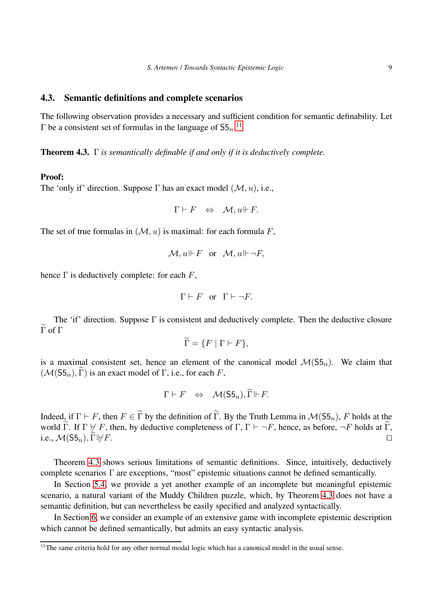#### 4.3. Semantic definitions and complete scenarios

<span id="page-8-0"></span>The following observation provides a necessary and sufficient condition for semantic definability. Let  $\Gamma$  be a consistent set of formulas in the language of  $55<sub>n</sub>$ .<sup>[11](#page-8-1)</sup>

Theorem 4.3. Γ *is semantically definable if and only if it is deductively complete.*

#### Proof:

The 'only if' direction. Suppose  $\Gamma$  has an exact model  $(\mathcal{M}, u)$ , i.e.,

$$
\Gamma \vdash F \;\; \Leftrightarrow \;\; \mathcal{M}, u \Vdash F.
$$

The set of true formulas in  $(M, u)$  is maximal: for each formula F,

$$
\mathcal{M}, u \Vdash F \quad \text{or} \quad \mathcal{M}, u \Vdash \neg F,
$$

hence  $\Gamma$  is deductively complete: for each  $F$ ,

$$
\Gamma \vdash F \quad \text{or} \quad \Gamma \vdash \neg F.
$$

The 'if' direction. Suppose  $\Gamma$  is consistent and deductively complete. Then the deductive closure  $\widetilde{\Gamma}$  of  $\Gamma$ 

$$
\Gamma = \{ F \mid \Gamma \vdash F \},\
$$

is a maximal consistent set, hence an element of the canonical model  $\mathcal{M}(S_5)_n$ . We claim that  $(\mathcal{M}(S5_n), \Gamma)$  is an exact model of  $\Gamma$ , i.e., for each F,

$$
\Gamma \vdash F \;\; \Leftrightarrow \;\; \mathcal{M}(\mathsf{S5}_n), \widetilde{\Gamma} \Vdash F.
$$

Indeed, if  $\Gamma \vdash F$ , then  $F \in \widetilde{\Gamma}$  by the definition of  $\widetilde{\Gamma}$ . By the Truth Lemma in  $\mathcal{M}(55_n)$ , F holds at the world  $\Gamma$ . If  $\Gamma \not\vdash F$ , then, by deductive completeness of  $\Gamma$ ,  $\Gamma \vdash \neg F$ , hence, as before,  $\neg F$  holds at  $\Gamma$ . i.e.,  $\mathcal{M}(S5_n)$ ,  $\Gamma \not\vdash F$ .

Theorem [4.3](#page-8-0) shows serious limitations of semantic definitions. Since, intuitively, deductively complete scenarios Γ are exceptions, "most" epistemic situations cannot be defined semantically.

In Section [5.4,](#page-12-0) we provide a yet another example of an incomplete but meaningful epistemic scenario, a natural variant of the Muddy Children puzzle, which, by Theorem [4.3](#page-8-0) does not have a semantic definition, but can nevertheless be easily specified and analyzed syntactically.

In Section [6,](#page-13-0) we consider an example of an extensive game with incomplete epistemic description which cannot be defined semantically, but admits an easy syntactic analysis.

<span id="page-8-1"></span><sup>&</sup>lt;sup>11</sup>The same criteria hold for any other normal modal logic which has a canonical model in the usual sense.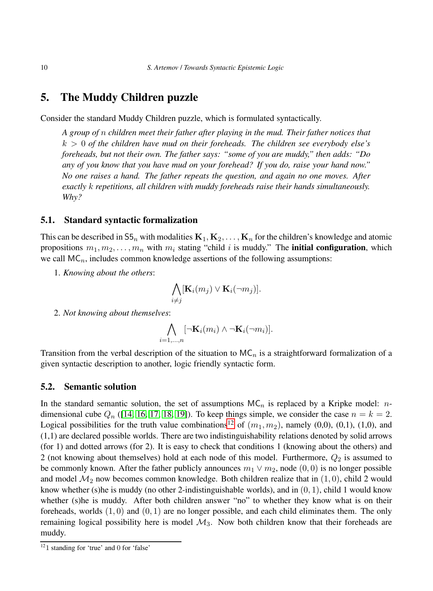# <span id="page-9-0"></span>5. The Muddy Children puzzle

Consider the standard Muddy Children puzzle, which is formulated syntactically.

*A group of* n *children meet their father after playing in the mud. Their father notices that* k > 0 *of the children have mud on their foreheads. The children see everybody else's foreheads, but not their own. The father says: "some of you are muddy," then adds: "Do any of you know that you have mud on your forehead? If you do, raise your hand now." No one raises a hand. The father repeats the question, and again no one moves. After exactly* k *repetitions, all children with muddy foreheads raise their hands simultaneously. Why?*

#### 5.1. Standard syntactic formalization

This can be described in  $55<sub>n</sub>$  with modalities  $\mathbf{K}_1, \mathbf{K}_2, \ldots, \mathbf{K}_n$  for the children's knowledge and atomic propositions  $m_1, m_2, \ldots, m_n$  with  $m_i$  stating "child i is muddy." The **initial configuration**, which we call  $MC_n$ , includes common knowledge assertions of the following assumptions:

1. *Knowing about the others*:

$$
\bigwedge_{i \neq j} [\mathbf{K}_i(m_j) \vee \mathbf{K}_i(\neg m_j)].
$$

2. *Not knowing about themselves*:

$$
\bigwedge_{i=1,\ldots,n} [\neg \mathbf{K}_i(m_i) \wedge \neg \mathbf{K}_i(\neg m_i)].
$$

Transition from the verbal description of the situation to  $MC_n$  is a straightforward formalization of a given syntactic description to another, logic friendly syntactic form.

#### <span id="page-9-2"></span>5.2. Semantic solution

In the standard semantic solution, the set of assumptions  $MC_n$  is replaced by a Kripke model: *n*dimensional cube  $Q_n$  ([\[14,](#page-17-0) [16,](#page-17-1) [17,](#page-17-2) [18,](#page-17-3) [19\]](#page-17-4)). To keep things simple, we consider the case  $n = k = 2$ . Logical possibilities for the truth value combinations<sup>[12](#page-9-1)</sup> of  $(m_1, m_2)$ , namely (0,0), (0,1), (1,0), and (1,1) are declared possible worlds. There are two indistinguishability relations denoted by solid arrows (for 1) and dotted arrows (for 2). It is easy to check that conditions 1 (knowing about the others) and 2 (not knowing about themselves) hold at each node of this model. Furthermore,  $Q_2$  is assumed to be commonly known. After the father publicly announces  $m_1 \vee m_2$ , node (0,0) is no longer possible and model  $\mathcal{M}_2$  now becomes common knowledge. Both children realize that in  $(1, 0)$ , child 2 would know whether (s)he is muddy (no other 2-indistinguishable worlds), and in  $(0, 1)$ , child 1 would know whether (s)he is muddy. After both children answer "no" to whether they know what is on their foreheads, worlds  $(1, 0)$  and  $(0, 1)$  are no longer possible, and each child eliminates them. The only remaining logical possibility here is model  $\mathcal{M}_3$ . Now both children know that their foreheads are muddy.

<span id="page-9-1"></span> $121$  standing for 'true' and 0 for 'false'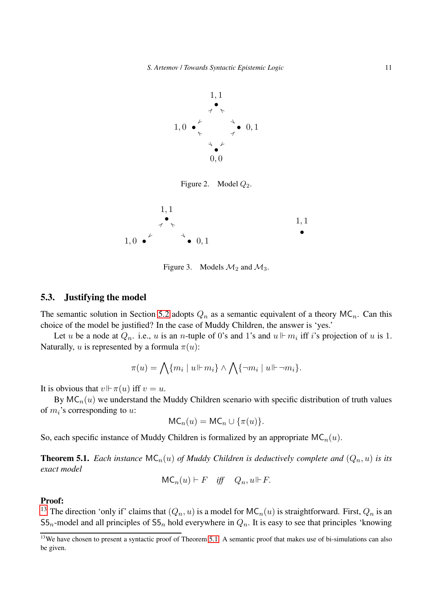

Figure 2. Model  $Q_2$ .



Figure 3. Models  $\mathcal{M}_2$  and  $\mathcal{M}_3$ .

#### 5.3. Justifying the model

The semantic solution in Section [5.2](#page-9-2) adopts  $Q_n$  as a semantic equivalent of a theory MC<sub>n</sub>. Can this choice of the model be justified? In the case of Muddy Children, the answer is 'yes.'

Let u be a node at  $Q_n$ . i.e., u is an n-tuple of 0's and 1's and  $u \Vdash m_i$  iff i's projection of u is 1. Naturally, u is represented by a formula  $\pi(u)$ :

$$
\pi(u) = \bigwedge \{m_i \mid u \Vdash m_i\} \wedge \bigwedge \{\neg m_i \mid u \Vdash \neg m_i\}.
$$

It is obvious that  $v \Vdash \pi(u)$  iff  $v = u$ .

By  $MC_n(u)$  we understand the Muddy Children scenario with specific distribution of truth values of  $m_i$ 's corresponding to  $u$ :

$$
\mathsf{MC}_n(u) = \mathsf{MC}_n \cup \{\pi(u)\}.
$$

<span id="page-10-1"></span>So, each specific instance of Muddy Children is formalized by an appropriate  $MC_n(u)$ .

**Theorem 5.1.** *Each instance*  $MC_n(u)$  *of Muddy Children is deductively complete and*  $(Q_n, u)$  *is its exact model*

$$
\mathsf{MC}_n(u) \vdash F \quad \textit{iff} \quad Q_n, u \Vdash F.
$$

### Proof:

<sup>[13](#page-10-0)</sup> The direction 'only if' claims that  $(Q_n, u)$  is a model for  $MC_n(u)$  is straightforward. First,  $Q_n$  is an  $55<sub>n</sub>$ -model and all principles of  $55<sub>n</sub>$  hold everywhere in  $Q<sub>n</sub>$ . It is easy to see that principles 'knowing

<span id="page-10-0"></span><sup>&</sup>lt;sup>13</sup>We have chosen to present a syntactic proof of Theorem [5.1.](#page-10-1) A semantic proof that makes use of bi-simulations can also be given.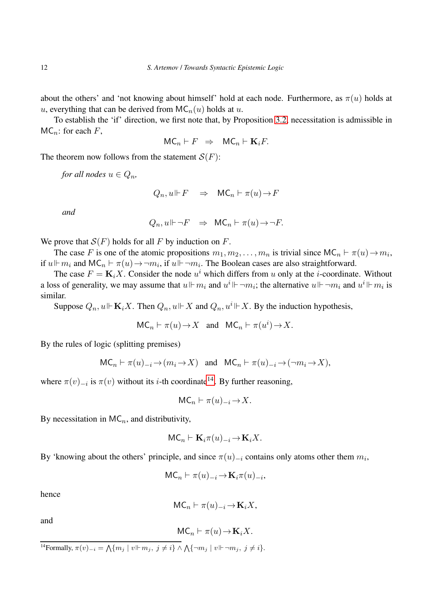about the others' and 'not knowing about himself' hold at each node. Furthermore, as  $\pi(u)$  holds at u, everything that can be derived from  $MC_n(u)$  holds at u.

To establish the 'if' direction, we first note that, by Proposition [3.2,](#page-5-2) necessitation is admissible in  $MC_n$ : for each F,

$$
\mathsf{MC}_n \vdash F \;\; \Rightarrow \;\; \mathsf{MC}_n \vdash \mathbf{K}_i F.
$$

The theorem now follows from the statement  $S(F)$ :

*for all nodes*  $u \in Q_n$ ,

$$
Q_n, u \Vdash F \quad \Rightarrow \quad \mathsf{MC}_n \vdash \pi(u) \to F
$$

*and*

$$
Q_n, u \Vdash \neg F \quad \Rightarrow \quad \mathsf{MC}_n \vdash \pi(u) \to \neg F.
$$

We prove that  $S(F)$  holds for all F by induction on F.

The case F is one of the atomic propositions  $m_1, m_2, \ldots, m_n$  is trivial since  $MC_n \vdash \pi(u) \rightarrow m_i$ , if  $u \Vdash m_i$  and  $MC_n \vdash \pi(u) \rightarrow \neg m_i$ , if  $u \Vdash \neg m_i$ . The Boolean cases are also straightforward.

The case  $F = \mathbf{K}_i X$ . Consider the node  $u^i$  which differs from u only at the *i*-coordinate. Without a loss of generality, we may assume that  $u \Vdash m_i$  and  $u^i \Vdash \neg m_i$ ; the alternative  $u \Vdash \neg m_i$  and  $u^i \Vdash m_i$  is similar.

Suppose  $Q_n$ ,  $u \Vdash \mathbf{K}_i X$ . Then  $Q_n$ ,  $u \Vdash X$  and  $Q_n$ ,  $u^i \Vdash X$ . By the induction hypothesis,

$$
\mathsf{MC}_n \vdash \pi(u) \to X \quad \text{and} \quad \mathsf{MC}_n \vdash \pi(u^i) \to X.
$$

By the rules of logic (splitting premises)

$$
\mathsf{MC}_n \vdash \pi(u)_{-i} \mathop{\rightarrow} (m_i \mathop{\rightarrow} X) \quad \text{and} \quad \mathsf{MC}_n \vdash \pi(u)_{-i} \mathop{\rightarrow} (\neg m_i \mathop{\rightarrow} X),
$$

where  $\pi(v)_{-i}$  is  $\pi(v)$  without its *i*-th coordinate<sup>[14](#page-11-0)</sup>. By further reasoning,

$$
\mathsf{MC}_n \vdash \pi(u)_{-i} \mathop{\rightarrow} X.
$$

By necessitation in  $MC_n$ , and distributivity,

$$
\mathsf{MC}_n \vdash \mathbf{K}_i \pi(u)_{-i} \mathop{\rightarrow} \mathbf{K}_i X.
$$

By 'knowing about the others' principle, and since  $\pi(u)_{-i}$  contains only atoms other them  $m_i$ ,

$$
\mathsf{MC}_n \vdash \pi(u)_{-i} \mathop{\to} \mathbf{K}_i \pi(u)_{-i},
$$

hence

$$
\mathsf{MC}_n \vdash \pi(u)_{-i} \mathop{\rightarrow} \mathbf{K}_i X,
$$

and

$$
MC_n \vdash \pi(u) \to \mathbf{K}_i X.
$$

<span id="page-11-0"></span><sup>&</sup>lt;sup>14</sup>Formally,  $\pi(v)_{-i} = \bigwedge \{m_j \mid v \Vdash m_j, j \neq i\} \wedge \bigwedge \{\neg m_j \mid v \Vdash \neg m_j, j \neq i\}.$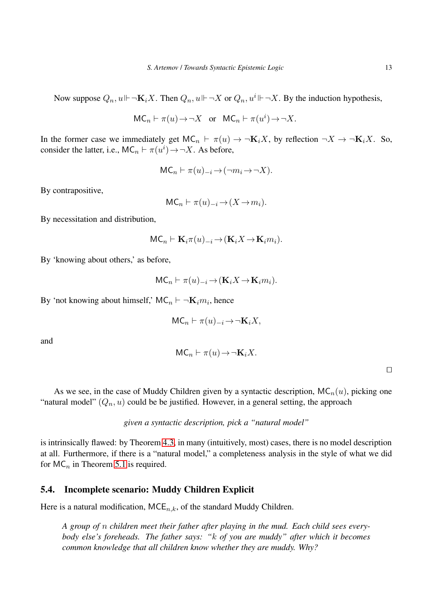Now suppose  $Q_n, u \Vdash \neg \mathbf{K}_i X$ . Then  $Q_n, u \Vdash \neg X$  or  $Q_n, u^i \Vdash \neg X$ . By the induction hypothesis,

$$
\mathsf{MC}_n \vdash \pi(u) \mathbin{\rightarrow} \neg X \quad \text{or} \quad \mathsf{MC}_n \vdash \pi(u^i) \mathbin{\rightarrow} \neg X.
$$

In the former case we immediately get  $MC_n \vdash \pi(u) \to \neg K_i X$ , by reflection  $\neg X \to \neg K_i X$ . So, consider the latter, i.e.,  $MC_n \vdash \pi(u^i) \rightarrow \neg X$ . As before,

$$
MC_n \vdash \pi(u)_{-i} \to (\neg m_i \to \neg X).
$$

By contrapositive,

$$
MC_n \vdash \pi(u)_{-i} \to (X \to m_i).
$$

By necessitation and distribution,

$$
MC_n \vdash \mathbf{K}_i \pi(u)_{-i} \to (\mathbf{K}_i X \to \mathbf{K}_i m_i).
$$

By 'knowing about others,' as before,

$$
\mathsf{MC}_n \vdash \pi(u)_{-i} \to (\mathbf{K}_i X \to \mathbf{K}_i m_i).
$$

By 'not knowing about himself,' MC<sub>n</sub>  $\vdash \neg \mathbf{K}_i m_i$ , hence

$$
\mathsf{MC}_n \vdash \pi(u)_{-i} \to \neg \mathbf{K}_i X,
$$

and

$$
MC_n \vdash \pi(u) \rightarrow \neg \mathbf{K}_i X.
$$

⊓⊔

As we see, in the case of Muddy Children given by a syntactic description,  $MC_n(u)$ , picking one "natural model"  $(Q_n, u)$  could be be justified. However, in a general setting, the approach

### *given a syntactic description, pick a "natural model"*

is intrinsically flawed: by Theorem [4.3,](#page-8-0) in many (intuitively, most) cases, there is no model description at all. Furthermore, if there is a "natural model," a completeness analysis in the style of what we did for  $MC_n$  in Theorem [5.1](#page-10-1) is required.

### <span id="page-12-0"></span>5.4. Incomplete scenario: Muddy Children Explicit

Here is a natural modification,  $MCE_{n,k}$ , of the standard Muddy Children.

*A group of* n *children meet their father after playing in the mud. Each child sees everybody else's foreheads. The father says: "*k *of you are muddy" after which it becomes common knowledge that all children know whether they are muddy. Why?*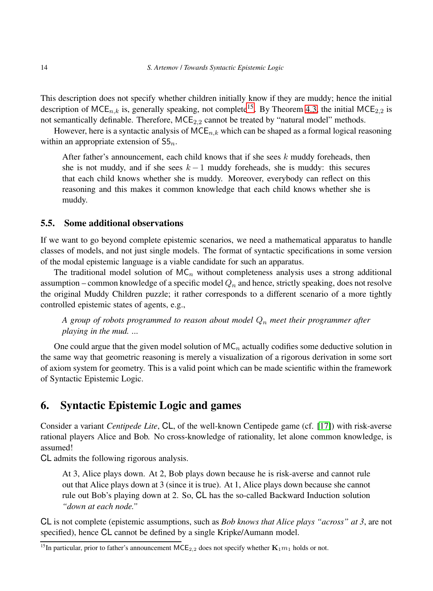This description does not specify whether children initially know if they are muddy; hence the initial description of MCE<sub>n,k</sub> is, generally speaking, not complete<sup>[15](#page-13-1)</sup>. By Theorem [4.3,](#page-8-0) the initial MCE<sub>2.2</sub> is not semantically definable. Therefore,  $MCE_{2,2}$  cannot be treated by "natural model" methods.

However, here is a syntactic analysis of  $MCE_{n,k}$  which can be shaped as a formal logical reasoning within an appropriate extension of  $55<sub>n</sub>$ .

After father's announcement, each child knows that if she sees  $k$  muddy foreheads, then she is not muddy, and if she sees  $k - 1$  muddy foreheads, she is muddy: this secures that each child knows whether she is muddy. Moreover, everybody can reflect on this reasoning and this makes it common knowledge that each child knows whether she is muddy.

### 5.5. Some additional observations

If we want to go beyond complete epistemic scenarios, we need a mathematical apparatus to handle classes of models, and not just single models. The format of syntactic specifications in some version of the modal epistemic language is a viable candidate for such an apparatus.

The traditional model solution of  $MC_n$  without completeness analysis uses a strong additional assumption – common knowledge of a specific model  $Q_n$  and hence, strictly speaking, does not resolve the original Muddy Children puzzle; it rather corresponds to a different scenario of a more tightly controlled epistemic states of agents, e.g.,

## *A group of robots programmed to reason about model* Q<sup>n</sup> *meet their programmer after playing in the mud. ...*

One could argue that the given model solution of  $MC_n$  actually codifies some deductive solution in the same way that geometric reasoning is merely a visualization of a rigorous derivation in some sort of axiom system for geometry. This is a valid point which can be made scientific within the framework of Syntactic Epistemic Logic.

## <span id="page-13-0"></span>6. Syntactic Epistemic Logic and games

Consider a variant *Centipede Lite*, CL, of the well-known Centipede game (cf. [\[17\]](#page-17-2)) with risk-averse rational players Alice and Bob. No cross-knowledge of rationality, let alone common knowledge, is assumed!

CL admits the following rigorous analysis.

At 3, Alice plays down. At 2, Bob plays down because he is risk-averse and cannot rule out that Alice plays down at 3 (since it is true). At 1, Alice plays down because she cannot rule out Bob's playing down at 2. So, CL has the so-called Backward Induction solution *"down at each node."*

CL is not complete (epistemic assumptions, such as *Bob knows that Alice plays "across" at 3*, are not specified), hence CL cannot be defined by a single Kripke/Aumann model.

<span id="page-13-1"></span><sup>&</sup>lt;sup>15</sup>In particular, prior to father's announcement MCE<sub>2,2</sub> does not specify whether  $\mathbf{K}_1m_1$  holds or not.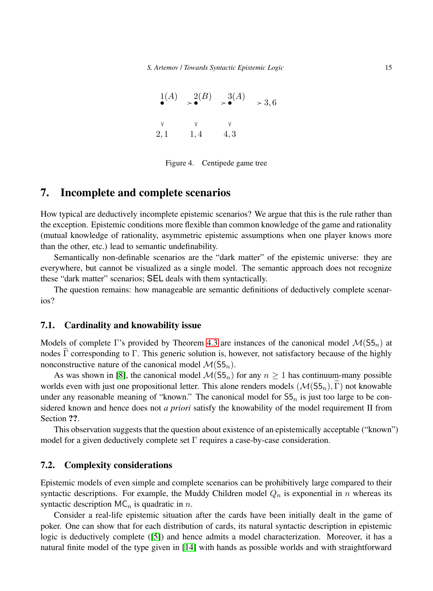| 1(A)         | $\geqslant^2(B)$ | $\rightarrow$ <sup>3(A)</sup> | > 3, 6 |
|--------------|------------------|-------------------------------|--------|
| $\mathsf{V}$ |                  |                               |        |
| 2,1          | 1,4              | 4, 3                          |        |

Figure 4. Centipede game tree

## 7. Incomplete and complete scenarios

How typical are deductively incomplete epistemic scenarios? We argue that this is the rule rather than the exception. Epistemic conditions more flexible than common knowledge of the game and rationality (mutual knowledge of rationality, asymmetric epistemic assumptions when one player knows more than the other, etc.) lead to semantic undefinability.

Semantically non-definable scenarios are the "dark matter" of the epistemic universe: they are everywhere, but cannot be visualized as a single model. The semantic approach does not recognize these "dark matter" scenarios; SEL deals with them syntactically.

The question remains: how manageable are semantic definitions of deductively complete scenarios?

#### 7.1. Cardinality and knowability issue

Models of complete Γ's provided by Theorem [4.3](#page-8-0) are instances of the canonical model  $\mathcal{M}(55_n)$  at nodes  $\tilde{\Gamma}$  corresponding to  $\Gamma$ . This generic solution is, however, not satisfactory because of the highly nonconstructive nature of the canonical model  $\mathcal{M}(S5_n)$ .

As was shown in [\[8\]](#page-16-10), the canonical model  $\mathcal{M}(55<sub>n</sub>)$  for any  $n > 1$  has continuum-many possible worlds even with just one propositional letter. This alone renders models  $(\mathcal{M}(S5_n), \widetilde{\Gamma})$  not knowable under any reasonable meaning of "known." The canonical model for  $55<sub>n</sub>$  is just too large to be considered known and hence does not *a priori* satisfy the knowability of the model requirement II from Section ??.

This observation suggests that the question about existence of an epistemically acceptable ("known") model for a given deductively complete set  $\Gamma$  requires a case-by-case consideration.

### 7.2. Complexity considerations

Epistemic models of even simple and complete scenarios can be prohibitively large compared to their syntactic descriptions. For example, the Muddy Children model  $Q_n$  is exponential in n whereas its syntactic description  $MC_n$  is quadratic in n.

Consider a real-life epistemic situation after the cards have been initially dealt in the game of poker. One can show that for each distribution of cards, its natural syntactic description in epistemic logic is deductively complete ([\[5\]](#page-16-11)) and hence admits a model characterization. Moreover, it has a natural finite model of the type given in [\[14\]](#page-17-0) with hands as possible worlds and with straightforward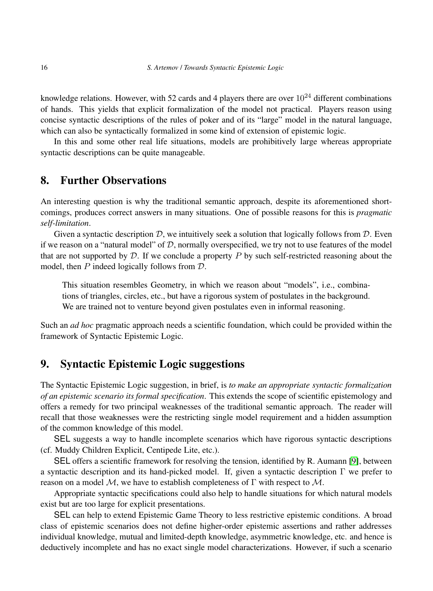knowledge relations. However, with 52 cards and 4 players there are over  $10^{24}$  different combinations of hands. This yields that explicit formalization of the model not practical. Players reason using concise syntactic descriptions of the rules of poker and of its "large" model in the natural language, which can also be syntactically formalized in some kind of extension of epistemic logic.

In this and some other real life situations, models are prohibitively large whereas appropriate syntactic descriptions can be quite manageable.

## 8. Further Observations

An interesting question is why the traditional semantic approach, despite its aforementioned shortcomings, produces correct answers in many situations. One of possible reasons for this is *pragmatic self-limitation*.

Given a syntactic description  $D$ , we intuitively seek a solution that logically follows from  $D$ . Even if we reason on a "natural model" of  $D$ , normally overspecified, we try not to use features of the model that are not supported by  $D$ . If we conclude a property P by such self-restricted reasoning about the model, then  $P$  indeed logically follows from  $D$ .

This situation resembles Geometry, in which we reason about "models", i.e., combinations of triangles, circles, etc., but have a rigorous system of postulates in the background. We are trained not to venture beyond given postulates even in informal reasoning.

Such an *ad hoc* pragmatic approach needs a scientific foundation, which could be provided within the framework of Syntactic Epistemic Logic.

## 9. Syntactic Epistemic Logic suggestions

The Syntactic Epistemic Logic suggestion, in brief, is *to make an appropriate syntactic formalization of an epistemic scenario its formal specification*. This extends the scope of scientific epistemology and offers a remedy for two principal weaknesses of the traditional semantic approach. The reader will recall that those weaknesses were the restricting single model requirement and a hidden assumption of the common knowledge of this model.

SEL suggests a way to handle incomplete scenarios which have rigorous syntactic descriptions (cf. Muddy Children Explicit, Centipede Lite, etc.).

SEL offers a scientific framework for resolving the tension, identified by R. Aumann [\[9\]](#page-16-1), between a syntactic description and its hand-picked model. If, given a syntactic description Γ we prefer to reason on a model  $M$ , we have to establish completeness of  $\Gamma$  with respect to  $M$ .

Appropriate syntactic specifications could also help to handle situations for which natural models exist but are too large for explicit presentations.

SEL can help to extend Epistemic Game Theory to less restrictive epistemic conditions. A broad class of epistemic scenarios does not define higher-order epistemic assertions and rather addresses individual knowledge, mutual and limited-depth knowledge, asymmetric knowledge, etc. and hence is deductively incomplete and has no exact single model characterizations. However, if such a scenario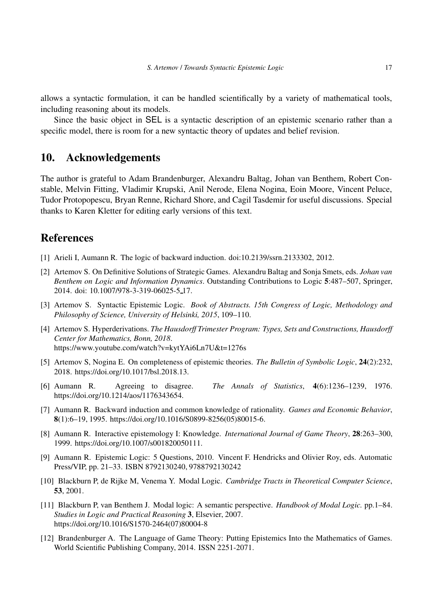allows a syntactic formulation, it can be handled scientifically by a variety of mathematical tools, including reasoning about its models.

Since the basic object in SEL is a syntactic description of an epistemic scenario rather than a specific model, there is room for a new syntactic theory of updates and belief revision.

## 10. Acknowledgements

The author is grateful to Adam Brandenburger, Alexandru Baltag, Johan van Benthem, Robert Constable, Melvin Fitting, Vladimir Krupski, Anil Nerode, Elena Nogina, Eoin Moore, Vincent Peluce, Tudor Protopopescu, Bryan Renne, Richard Shore, and Cagil Tasdemir for useful discussions. Special thanks to Karen Kletter for editing early versions of this text.

## <span id="page-16-5"></span>**References**

- <span id="page-16-6"></span>[1] Arieli I, Aumann R. The logic of backward induction. doi:10.2139/ssrn.2133302, 2012.
- [2] Artemov S. On Definitive Solutions of Strategic Games. Alexandru Baltag and Sonja Smets, eds. *Johan van Benthem on Logic and Information Dynamics*. Outstanding Contributions to Logic 5:487–507, Springer, 2014. doi: 10.1007/978-3-319-06025-5 17.
- <span id="page-16-0"></span>[3] Artemov S. Syntactic Epistemic Logic. *Book of Abstracts. 15th Congress of Logic, Methodology and Philosophy of Science, University of Helsinki, 2015*, 109–110.
- <span id="page-16-2"></span>[4] Artemov S. Hyperderivations. *The Hausdorff Trimester Program: Types, Sets and Constructions, Hausdorff Center for Mathematics, Bonn, 2018*. https://www.youtube.com/watch?v=kytYAi6Ln7U&t=1276s
- <span id="page-16-11"></span>[5] Artemov S, Nogina E. On completeness of epistemic theories. *The Bulletin of Symbolic Logic*, 24(2):232, 2018. https://doi.org/10.1017/bsl.2018.13.
- <span id="page-16-3"></span>[6] Aumann R. Agreeing to disagree. *The Annals of Statistics*, 4(6):1236–1239, 1976. https://doi.org/10.1214/aos/1176343654.
- <span id="page-16-4"></span>[7] Aumann R. Backward induction and common knowledge of rationality. *Games and Economic Behavior*, 8(1):6–19, 1995. https://doi.org/10.1016/S0899-8256(05)80015-6.
- <span id="page-16-10"></span>[8] Aumann R. Interactive epistemology I: Knowledge. *International Journal of Game Theory*, 28:263–300, 1999. https://doi.org/10.1007/s001820050111.
- <span id="page-16-1"></span>[9] Aumann R. Epistemic Logic: 5 Questions, 2010. Vincent F. Hendricks and Olivier Roy, eds. Automatic Press/VIP, pp. 21–33. ISBN 8792130240, 9788792130242
- <span id="page-16-8"></span>[10] Blackburn P, de Rijke M, Venema Y. Modal Logic. *Cambridge Tracts in Theoretical Computer Science*, 53, 2001.
- <span id="page-16-9"></span>[11] Blackburn P, van Benthem J. Modal logic: A semantic perspective. *Handbook of Modal Logic.* pp.1–84. *Studies in Logic and Practical Reasoning* 3, Elsevier, 2007. https://doi.org/10.1016/S1570-2464(07)80004-8
- <span id="page-16-7"></span>[12] Brandenburger A. The Language of Game Theory: Putting Epistemics Into the Mathematics of Games. World Scientific Publishing Company, 2014. ISSN 2251-2071.